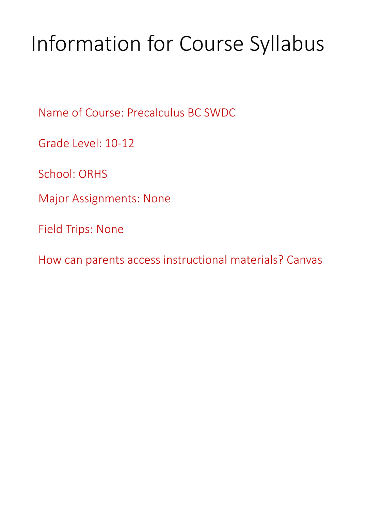# Information for Course Syllabus

Name of Course: Precalculus BC SWDC

Grade Level: 10-12

School: ORHS

Major Assignments: None

Field Trips: None

How can parents access instructional materials? Canvas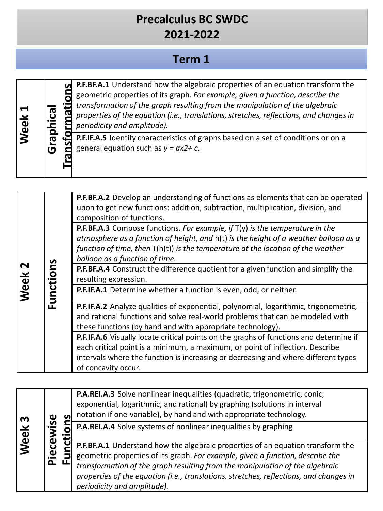# **Term 1**

| ⊻<br><b>Neel</b> | hical              | <b>P.F.BF.A.1</b> Understand how the algebraic properties of an equation transform the<br>geometric properties of its graph. For example, given a function, describe the<br>transformation of the graph resulting from the manipulation of the algebraic<br>properties of the equation (i.e., translations, stretches, reflections, and changes in<br>periodicity and amplitude). |
|------------------|--------------------|-----------------------------------------------------------------------------------------------------------------------------------------------------------------------------------------------------------------------------------------------------------------------------------------------------------------------------------------------------------------------------------|
|                  | $\Omega$<br>ā<br>G | P.F.IF.A.5 Identify characteristics of graphs based on a set of conditions or on a<br>general equation such as $y = ax2 + c$ .                                                                                                                                                                                                                                                    |

| $\mathbf{\mathsf{N}}$<br>Week | Functions | P.F.BF.A.2 Develop an understanding of functions as elements that can be operated<br>upon to get new functions: addition, subtraction, multiplication, division, and<br>composition of functions.<br><b>P.F.BF.A.3</b> Compose functions. For example, if $T(y)$ is the temperature in the<br>atmosphere as a function of height, and h(t) is the height of a weather balloon as a<br>function of time, then T(h(t)) is the temperature at the location of the weather<br>balloon as a function of time. |
|-------------------------------|-----------|----------------------------------------------------------------------------------------------------------------------------------------------------------------------------------------------------------------------------------------------------------------------------------------------------------------------------------------------------------------------------------------------------------------------------------------------------------------------------------------------------------|
|                               |           | <b>P.F.BF.A.4</b> Construct the difference quotient for a given function and simplify the<br>resulting expression.                                                                                                                                                                                                                                                                                                                                                                                       |
|                               |           | P.F.IF.A.1 Determine whether a function is even, odd, or neither.                                                                                                                                                                                                                                                                                                                                                                                                                                        |
|                               |           | P.F.IF.A.2 Analyze qualities of exponential, polynomial, logarithmic, trigonometric,<br>and rational functions and solve real-world problems that can be modeled with<br>these functions (by hand and with appropriate technology).                                                                                                                                                                                                                                                                      |
|                               |           | P.F.IF.A.6 Visually locate critical points on the graphs of functions and determine if<br>each critical point is a minimum, a maximum, or point of inflection. Describe                                                                                                                                                                                                                                                                                                                                  |
|                               |           | intervals where the function is increasing or decreasing and where different types<br>of concavity occur.                                                                                                                                                                                                                                                                                                                                                                                                |

| m<br>Week |               |  | P.A.REI.A.3 Solve nonlinear inequalities (quadratic, trigonometric, conic,<br>exponential, logarithmic, and rational) by graphing (solutions in interval<br>notation if one-variable), by hand and with appropriate technology.                                                                                                                                            |
|-----------|---------------|--|----------------------------------------------------------------------------------------------------------------------------------------------------------------------------------------------------------------------------------------------------------------------------------------------------------------------------------------------------------------------------|
|           |               |  | P.A.REI.A.4 Solve systems of nonlinear inequalities by graphing                                                                                                                                                                                                                                                                                                            |
|           | iecewise<br>௳ |  | P.F.BF.A.1 Understand how the algebraic properties of an equation transform the<br>geometric properties of its graph. For example, given a function, describe the<br>transformation of the graph resulting from the manipulation of the algebraic<br>properties of the equation (i.e., translations, stretches, reflections, and changes in<br>periodicity and amplitude). |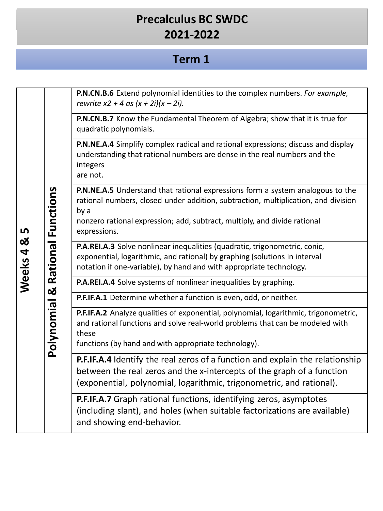#### **Term 1**

**We e ks 4 & 5 Pol yno mial & R a tional Func tion s P.N.CN.B.6** Extend polynomial identities to the complex numbers. *For example, rewrite x2 + 4 as (x + 2i)(x – 2i).* **P.N.CN.B.7** Know the Fundamental Theorem of Algebra; show that it is true for quadratic polynomials. **P.N.NE.A.4** Simplify complex radical and rational expressions; discuss and display understanding that rational numbers are dense in the real numbers and the integers are not. **P.N.NE.A.5** Understand that rational expressions form a system analogous to the rational numbers, closed under addition, subtraction, multiplication, and division by a nonzero rational expression; add, subtract, multiply, and divide rational expressions. **P.A.REI.A.3** Solve nonlinear inequalities (quadratic, trigonometric, conic, exponential, logarithmic, and rational) by graphing (solutions in interval notation if one-variable), by hand and with appropriate technology. **P.A.REI.A.4** Solve systems of nonlinear inequalities by graphing. **P.F.IF.A.1** Determine whether a function is even, odd, or neither. **P.F.IF.A.2** Analyze qualities of exponential, polynomial, logarithmic, trigonometric, and rational functions and solve real-world problems that can be modeled with these functions (by hand and with appropriate technology). **P.F.IF.A.4** Identify the real zeros of a function and explain the relationship between the real zeros and the x-intercepts of the graph of a function (exponential, polynomial, logarithmic, trigonometric, and rational). **P.F.IF.A.7** Graph rational functions, identifying zeros, asymptotes (including slant), and holes (when suitable factorizations are available) and showing end-behavior.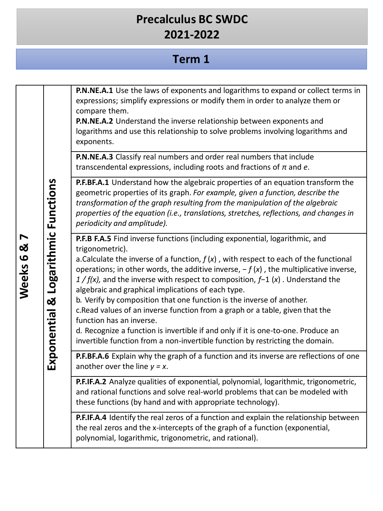#### **Term 1**

**Expon e n tial & L o garit h mic Func tion s P.N.NE.A.1** Use the laws of exponents and logarithms to expand or collect terms in expressions; simplify expressions or modify them in order to analyze them or compare them. **P.N.NE.A.2** Understand the inverse relationship between exponents and logarithms and use this relationship to solve problems involving logarithms and exponents. **P.N.NE.A.3** Classify real numbers and order real numbers that include transcendental expressions, including roots and fractions of *π* and *e*. **P.F.BF.A.1** Understand how the algebraic properties of an equation transform the geometric properties of its graph. *For example, given a function, describe the transformation of the graph resulting from the manipulation of the algebraic properties of the equation (i.e., translations, stretches, reflections, and changes in periodicity and amplitude).* **P.F.B F.A.5** Find inverse functions (including exponential, logarithmic, and trigonometric). a.Calculate the inverse of a function, *f* (*x*) , with respect to each of the functional operations; in other words, the additive inverse, − *f* (*x*) , the multiplicative inverse, *1 / f(x),* and the inverse with respect to composition, *f*−1 (*x*) . Understand the algebraic and graphical implications of each type. b. Verify by composition that one function is the inverse of another. c.Read values of an inverse function from a graph or a table, given that the function has an inverse. d. Recognize a function is invertible if and only if it is one-to-one. Produce an invertible function from a non-invertible function by restricting the domain. **P.F.BF.A.6** Explain why the graph of a function and its inverse are reflections of one another over the line  $y = x$ . **P.F.IF.A.2** Analyze qualities of exponential, polynomial, logarithmic, trigonometric, and rational functions and solve real-world problems that can be modeled with these functions (by hand and with appropriate technology). **P.F.IF.A.4** Identify the real zeros of a function and explain the relationship between the real zeros and the x-intercepts of the graph of a function (exponential, polynomial, logarithmic, trigonometric, and rational).

**Wee ks 6 & 7**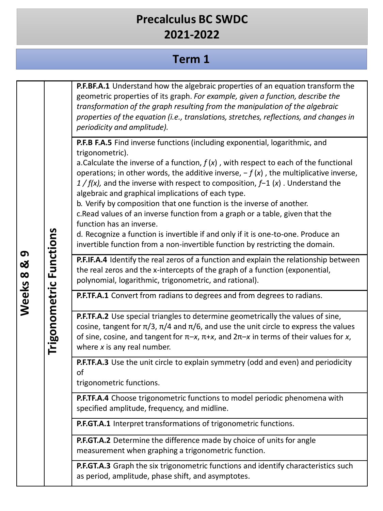#### **Term 1**

**Trigono** <u>ج</u> **e t ric Func tion s P.F.BF.A.1** Understand how the algebraic properties of an equation transform the geometric properties of its graph. *For example, given a function, describe the transformation of the graph resulting from the manipulation of the algebraic properties of the equation (i.e., translations, stretches, reflections, and changes in periodicity and amplitude).* **P.F.B F.A.5** Find inverse functions (including exponential, logarithmic, and trigonometric). a.Calculate the inverse of a function, *f* (*x*) , with respect to each of the functional operations; in other words, the additive inverse, − *f* (*x*) , the multiplicative inverse, *1 / f(x),* and the inverse with respect to composition, *f*−1 (*x*) . Understand the algebraic and graphical implications of each type. b. Verify by composition that one function is the inverse of another. c.Read values of an inverse function from a graph or a table, given that the function has an inverse. d. Recognize a function is invertible if and only if it is one-to-one. Produce an invertible function from a non-invertible function by restricting the domain. **P.F.IF.A.4** Identify the real zeros of a function and explain the relationship between the real zeros and the x-intercepts of the graph of a function (exponential, polynomial, logarithmic, trigonometric, and rational). **P.F.TF.A.1** Convert from radians to degrees and from degrees to radians. **P.F.TF.A.2** Use special triangles to determine geometrically the values of sine, cosine, tangent for  $π/3$ ,  $π/4$  and  $π/6$ , and use the unit circle to express the values of sine, cosine, and tangentfor π–*x*, π+*x*, and 2π–*x* in terms of their values for *x*, where *x* is any real number. **P.F.TF.A.3** Use the unit circle to explain symmetry (odd and even) and periodicity of trigonometric functions. **P.F.TF.A.4** Choose trigonometric functions to model periodic phenomena with specified amplitude, frequency, and midline. **P.F.GT.A.1** Interpret transformations of trigonometric functions. **P.F.GT.A.2** Determine the difference made by choice of units for angle measurement when graphing a trigonometric function. **P.F.GT.A.3** Graph the six trigonometric functions and identify characteristics such as period, amplitude, phase shift, and asymptotes.

**Wee**

**ks 8 &**

**9**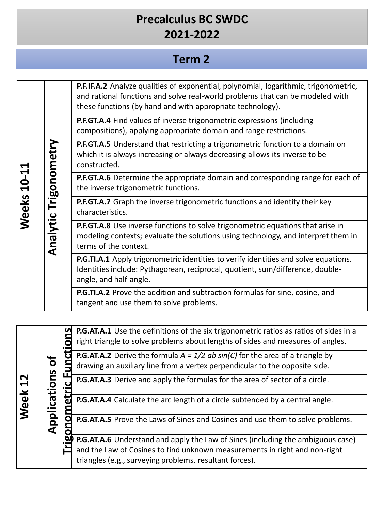# **Term 2**

| ↤<br><b>Weeks 10-1</b> |                       |        | P.F.IF.A.2 Analyze qualities of exponential, polynomial, logarithmic, trigonometric,<br>and rational functions and solve real-world problems that can be modeled with<br>these functions (by hand and with appropriate technology). |
|------------------------|-----------------------|--------|-------------------------------------------------------------------------------------------------------------------------------------------------------------------------------------------------------------------------------------|
|                        |                       |        | P.F.GT.A.4 Find values of inverse trigonometric expressions (including<br>compositions), applying appropriate domain and range restrictions.                                                                                        |
|                        |                       |        | <b>P.F.GT.A.5</b> Understand that restricting a trigonometric function to a domain on<br>which it is always increasing or always decreasing allows its inverse to be<br>constructed.                                                |
|                        |                       |        | <b>P.F.GT.A.6</b> Determine the appropriate domain and corresponding range for each of<br>the inverse trigonometric functions.                                                                                                      |
|                        |                       |        | P.F.GT.A.7 Graph the inverse trigonometric functions and identify their key<br>characteristics.                                                                                                                                     |
|                        | Analytic Trigonometry |        | P.F.GT.A.8 Use inverse functions to solve trigonometric equations that arise in<br>modeling contexts; evaluate the solutions using technology, and interpret them in<br>terms of the context.                                       |
|                        |                       |        | P.G.TI.A.1 Apply trigonometric identities to verify identities and solve equations.<br>Identities include: Pythagorean, reciprocal, quotient, sum/difference, double-<br>angle, and half-angle.                                     |
|                        |                       |        | P.G.TI.A.2 Prove the addition and subtraction formulas for sine, cosine, and<br>tangent and use them to solve problems.                                                                                                             |
|                        |                       |        |                                                                                                                                                                                                                                     |
|                        |                       |        | P.G.AT.A.1 Use the definitions of the six trigonometric ratios as ratios of sides in a<br>right triangle to solve problems about lengths of sides and measures of angles.                                                           |
|                        |                       |        | <b>P.G.AT.A.2</b> Derive the formula $A = 1/2$ ab $sin(C)$ for the area of a triangle by<br>drawing an auxiliary line from a vertex perpendicular to the opposite side.                                                             |
|                        | tions of              | ۲Ľ     | P.G.AT.A.3 Derive and apply the formulas for the area of sector of a circle.                                                                                                                                                        |
| Weel                   |                       |        | P.G.AT.A.4 Calculate the arc length of a circle subtended by a central angle.                                                                                                                                                       |
|                        | Applica               | gonome | P.G.AT.A.5 Prove the Laws of Sines and Cosines and use them to solve problems.                                                                                                                                                      |
|                        |                       |        | P.G.AT.A.6 Understand and apply the Law of Sines (including the ambiguous case)                                                                                                                                                     |
|                        |                       |        | and the Law of Cosines to find unknown measurements in right and non-right<br>triangles (e.g., surveying problems, resultant forces).                                                                                               |
|                        |                       |        |                                                                                                                                                                                                                                     |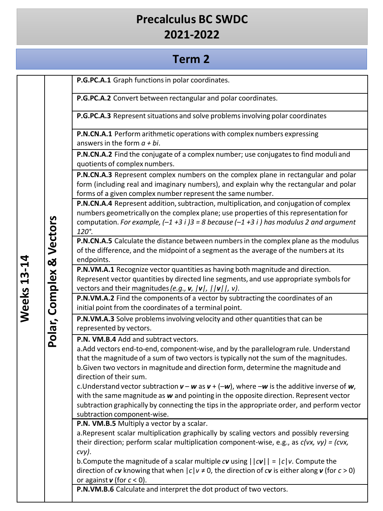#### **Term 2**

**P.G.PC.A.1** Graph functionsin polar coordinates.

**P.G.PC.A.2** Convert between rectangular and polar coordinates.

**P.G.PC.A.3** Represent situations and solve problems involving polar coordinates

**P.N.CN.A.1** Perform arithmetic operations with complex numbers expressing answersin the form *a + bi*.

**P.N.CN.A.2** Find the conjugate of a complex number; use conjugates to find moduli and quotients of complex numbers.

**P.N.CN.A.3** Represent complex numbers on the complex plane in rectangular and polar form (including real and imaginary numbers), and explain why the rectangular and polar forms of a given complex number represent the same number.

**P.N.CN.A.4** Represent addition, subtraction, multiplication, and conjugation of complex numbers geometricallyon the complex plane; use properties of this representation for computation. *For example, (–1 +3 i )3 = 8 because (–1 +3 i ) has modulus 2 and argument 120°.*

**P.N.CN.A.5** Calculate the distance between numbersin the complex plane as the modulus of the difference, and the midpoint of a segment as the average of the numbers at its endpoints.

**P.N.VM.A.1** Recognize vector quantities as having both magnitude and direction. Represent vector quantities by directed line segments, and use appropriate symbolsfor vectors and their magnitudes*(e.g., v, |v|, ||v||, v)*.

**P.N.VM.A.2** Find the components of a vector by subtracting the coordinates of an initial point from the coordinates of a terminal point.

**P.N.VM.A.3** Solve problems involving velocity and other quantities that can be represented by vectors.

**P.N. VM.B.4** Add and subtract vectors.

a.Add vectors end-to-end, component-wise, and by the parallelogramrule. Understand that the magnitude of a sum of two vectors istypically not the sum of the magnitudes. b.Given two vectors in magnitude and direction form, determine the magnitude and direction of their sum.

c. Understand vector subtraction  $v - w$  as  $v + (-w)$ , where  $-w$  is the additive inverse of  $w$ , with the same magnitude as *w* and pointing in the opposite direction. Represent vector subtraction graphically by connecting the tips in the appropriate order, and perform vector subtraction component-wise.

**P.N. VM.B.5** Multiply a vector by a scalar.

a.Represent scalar multiplication graphically by scaling vectors and possibly reversing their direction; perform scalar multiplication component-wise, e.g., as *c(vx, vy) = (cvx, cvy)*.

b. Compute the magnitude of a scalar multiple  $c$ *v* using  $||cv|| = |c|v$ . Compute the direction of *c***v** knowing that when  $|c|v \neq 0$ , the direction of *c***v** is either along **v** (for *c* > 0) or against *v* (for *c* < 0).

**P.N.VM.B.6** Calculate and interpret the dot product of two vectors.

**Pola**

**r, C**

**omple**

**x &** 

**Ve c**

**t o r s**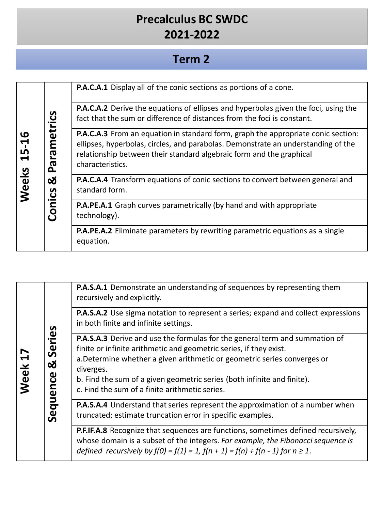# **Term 2**

| 15-16<br>Weeks |                         | <b>P.A.C.A.1</b> Display all of the conic sections as portions of a cone.                                                                                                                                                                                          |
|----------------|-------------------------|--------------------------------------------------------------------------------------------------------------------------------------------------------------------------------------------------------------------------------------------------------------------|
|                |                         | <b>P.A.C.A.2</b> Derive the equations of ellipses and hyperbolas given the foci, using the<br>fact that the sum or difference of distances from the foci is constant.                                                                                              |
|                | metrics<br>e,<br>G<br>௳ | P.A.C.A.3 From an equation in standard form, graph the appropriate conic section:<br>ellipses, hyperbolas, circles, and parabolas. Demonstrate an understanding of the<br>relationship between their standard algebraic form and the graphical<br>characteristics. |
|                | ಯ<br>Conics             | <b>P.A.C.A.4</b> Transform equations of conic sections to convert between general and<br>standard form.                                                                                                                                                            |
|                |                         | P.A.PE.A.1 Graph curves parametrically (by hand and with appropriate<br>technology).                                                                                                                                                                               |
|                |                         | P.A.PE.A.2 Eliminate parameters by rewriting parametric equations as a single<br>equation.                                                                                                                                                                         |

| Week 17 | ries<br>တိ<br>ಯ<br>Sequence | <b>P.A.S.A.1</b> Demonstrate an understanding of sequences by representing them<br>recursively and explicitly.                                                                                                                                                                                                                                                                 |
|---------|-----------------------------|--------------------------------------------------------------------------------------------------------------------------------------------------------------------------------------------------------------------------------------------------------------------------------------------------------------------------------------------------------------------------------|
|         |                             | P.A.S.A.2 Use sigma notation to represent a series; expand and collect expressions<br>in both finite and infinite settings.                                                                                                                                                                                                                                                    |
|         |                             | <b>P.A.S.A.3</b> Derive and use the formulas for the general term and summation of<br>finite or infinite arithmetic and geometric series, if they exist.<br>a. Determine whether a given arithmetic or geometric series converges or<br>diverges.<br>b. Find the sum of a given geometric series (both infinite and finite).<br>c. Find the sum of a finite arithmetic series. |
|         |                             | P.A.S.A.4 Understand that series represent the approximation of a number when<br>truncated; estimate truncation error in specific examples.                                                                                                                                                                                                                                    |
|         |                             | P.F.IF.A.8 Recognize that sequences are functions, sometimes defined recursively,<br>whose domain is a subset of the integers. For example, the Fibonacci sequence is<br>defined recursively by $f(0) = f(1) = 1$ , $f(n + 1) = f(n) + f(n - 1)$ for $n \ge 1$ .                                                                                                               |